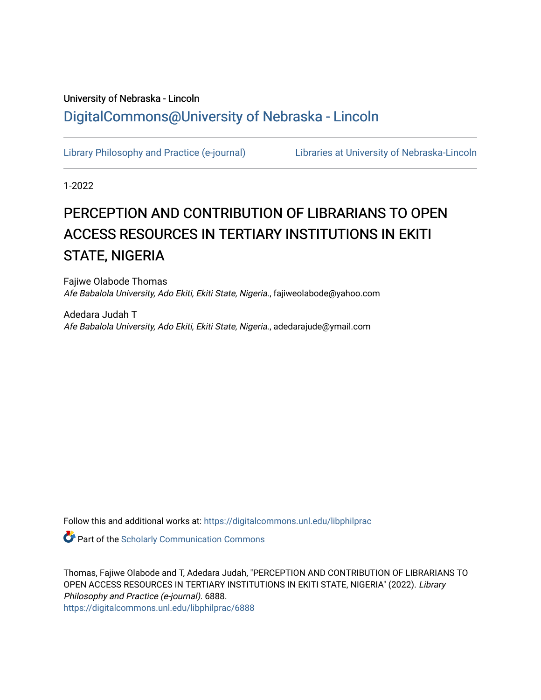# University of Nebraska - Lincoln [DigitalCommons@University of Nebraska - Lincoln](https://digitalcommons.unl.edu/)

[Library Philosophy and Practice \(e-journal\)](https://digitalcommons.unl.edu/libphilprac) [Libraries at University of Nebraska-Lincoln](https://digitalcommons.unl.edu/libraries) 

1-2022

# PERCEPTION AND CONTRIBUTION OF LIBRARIANS TO OPEN ACCESS RESOURCES IN TERTIARY INSTITUTIONS IN EKITI STATE, NIGERIA

Fajiwe Olabode Thomas Afe Babalola University, Ado Ekiti, Ekiti State, Nigeria., fajiweolabode@yahoo.com

Adedara Judah T Afe Babalola University, Ado Ekiti, Ekiti State, Nigeria., adedarajude@ymail.com

Follow this and additional works at: [https://digitalcommons.unl.edu/libphilprac](https://digitalcommons.unl.edu/libphilprac?utm_source=digitalcommons.unl.edu%2Flibphilprac%2F6888&utm_medium=PDF&utm_campaign=PDFCoverPages) 

**Part of the Scholarly Communication Commons** 

Thomas, Fajiwe Olabode and T, Adedara Judah, "PERCEPTION AND CONTRIBUTION OF LIBRARIANS TO OPEN ACCESS RESOURCES IN TERTIARY INSTITUTIONS IN EKITI STATE, NIGERIA" (2022). Library Philosophy and Practice (e-journal). 6888. [https://digitalcommons.unl.edu/libphilprac/6888](https://digitalcommons.unl.edu/libphilprac/6888?utm_source=digitalcommons.unl.edu%2Flibphilprac%2F6888&utm_medium=PDF&utm_campaign=PDFCoverPages)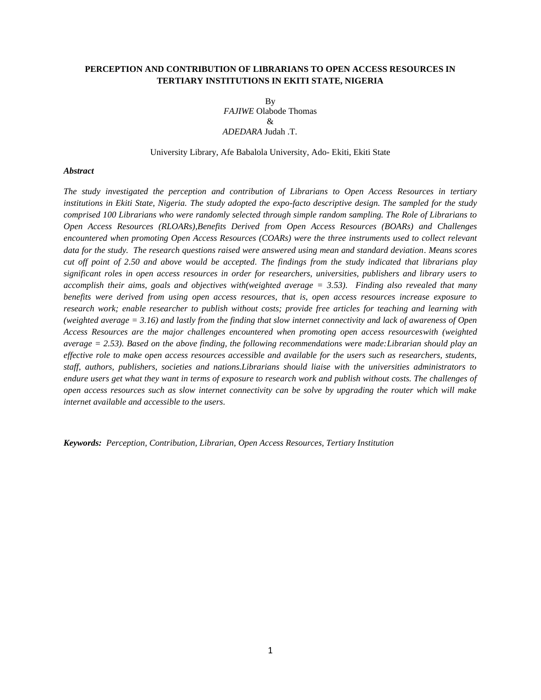# **PERCEPTION AND CONTRIBUTION OF LIBRARIANS TO OPEN ACCESS RESOURCES IN TERTIARY INSTITUTIONS IN EKITI STATE, NIGERIA**

By *FAJIWE* Olabode Thomas  $\mathcal{R}$ *ADEDARA* Judah .T.

University Library, Afe Babalola University, Ado- Ekiti, Ekiti State

#### *Abstract*

*The study investigated the perception and contribution of Librarians to Open Access Resources in tertiary institutions in Ekiti State, Nigeria. The study adopted the expo-facto descriptive design. The sampled for the study comprised 100 Librarians who were randomly selected through simple random sampling. The Role of Librarians to Open Access Resources (RLOARs),Benefits Derived from Open Access Resources (BOARs) and Challenges encountered when promoting Open Access Resources (COARs) were the three instruments used to collect relevant data for the study. The research questions raised were answered using mean and standard deviation. Means scores cut off point of 2.50 and above would be accepted. The findings from the study indicated that librarians play significant roles in open access resources in order for researchers, universities, publishers and library users to accomplish their aims, goals and objectives with(weighted average = 3.53). Finding also revealed that many benefits were derived from using open access resources, that is, open access resources increase exposure to research work; enable researcher to publish without costs; provide free articles for teaching and learning with (weighted average = 3.16) and lastly from the finding that slow internet connectivity and lack of awareness of Open Access Resources are the major challenges encountered when promoting open access resourceswith (weighted average = 2.53). Based on the above finding, the following recommendations were made:Librarian should play an effective role to make open access resources accessible and available for the users such as researchers, students, staff, authors, publishers, societies and nations.Librarians should liaise with the universities administrators to endure users get what they want in terms of exposure to research work and publish without costs. The challenges of open access resources such as slow internet connectivity can be solve by upgrading the router which will make internet available and accessible to the users.*

*Keywords: Perception, Contribution, Librarian, Open Access Resources, Tertiary Institution*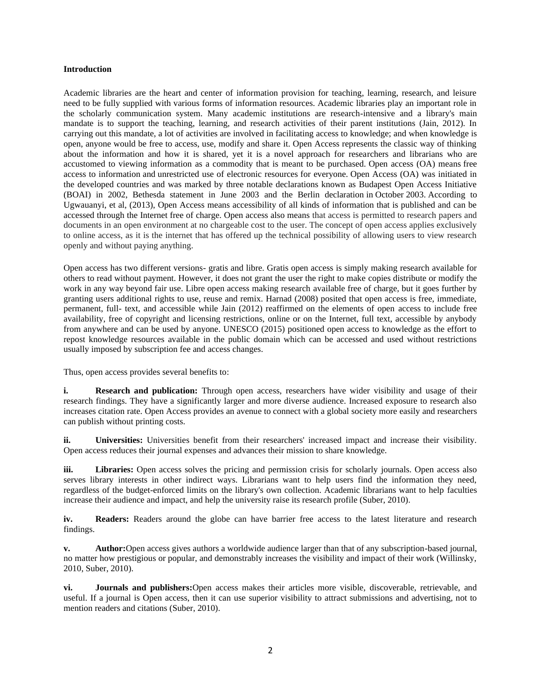## **Introduction**

Academic libraries are the heart and center of information provision for teaching, learning, research, and leisure need to be fully supplied with various forms of information resources. Academic libraries play an important role in the scholarly communication system. Many academic institutions are research-intensive and a library's main mandate is to support the teaching, learning, and research activities of their parent institutions (Jain, 2012). In carrying out this mandate, a lot of activities are involved in facilitating access to knowledge; and when knowledge is open, anyone would be free to access, use, modify and share it. Open Access represents the classic way of thinking about the information and how it is shared, yet it is a novel approach for researchers and librarians who are accustomed to viewing information as a commodity that is meant to be purchased. Open access (OA) means free access to information and unrestricted use of electronic resources for everyone. Open Access (OA) was initiated in the developed countries and was marked by three notable declarations known as Budapest Open Access Initiative (BOAI) in 2002, Bethesda statement in June 2003 and the Berlin declaration in October 2003. According to Ugwauanyi, et al, (2013), Open Access means accessibility of all kinds of information that is published and can be accessed through the Internet free of charge. Open access also means that access is permitted to research papers and documents in an open environment at no chargeable cost to the user. The concept of open access applies exclusively to online access, as it is the internet that has offered up the technical possibility of allowing users to view research openly and without paying anything.

Open access has two different versions- gratis and libre. Gratis open access is simply making research available for others to read without payment. However, it does not grant the user the right to make copies distribute or modify the work in any way beyond fair use. Libre open access making research available free of charge, but it goes further by granting users additional rights to use, reuse and remix. Harnad (2008) posited that open access is free, immediate, permanent, full- text, and accessible while Jain (2012) reaffirmed on the elements of open access to include free availability, free of copyright and licensing restrictions, online or on the Internet, full text, accessible by anybody from anywhere and can be used by anyone. UNESCO (2015) positioned open access to knowledge as the effort to repost knowledge resources available in the public domain which can be accessed and used without restrictions usually imposed by subscription fee and access changes.

Thus, open access provides several benefits to:

**i. Research and publication:** Through open access, researchers have wider visibility and usage of their research findings. They have a significantly larger and more diverse audience. Increased exposure to research also increases citation rate. Open Access provides an avenue to connect with a global society more easily and researchers can publish without printing costs.

**ii. Universities:** Universities benefit from their researchers' increased impact and increase their visibility. Open access reduces their journal expenses and advances their mission to share knowledge.

**iii. Libraries:** Open access solves the pricing and permission crisis for scholarly journals. Open access also serves library interests in other indirect ways. Librarians want to help users find the information they need, regardless of the budget-enforced limits on the library's own collection. Academic librarians want to help faculties increase their audience and impact, and help the university raise its research profile (Suber, 2010).

**iv. Readers:** Readers around the globe can have barrier free access to the latest literature and research findings.

**v. Author:**Open access gives authors a worldwide audience larger than that of any subscription-based journal, no matter how prestigious or popular, and demonstrably increases the visibility and impact of their work (Willinsky, 2010, Suber, 2010).

**vi. Journals and publishers:**Open access makes their articles more visible, discoverable, retrievable, and useful. If a journal is Open access, then it can use superior visibility to attract submissions and advertising, not to mention readers and citations (Suber, 2010).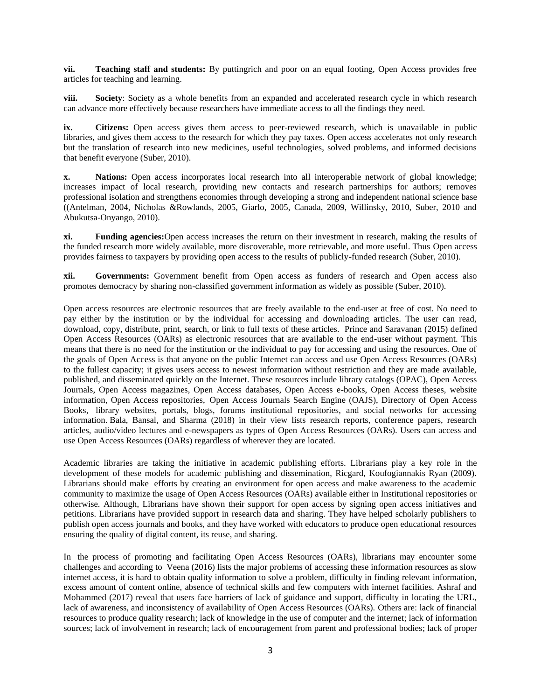**vii. Teaching staff and students:** By puttingrich and poor on an equal footing, Open Access provides free articles for teaching and learning.

**viii. Society**: Society as a whole benefits from an expanded and accelerated research cycle in which research can advance more effectively because researchers have immediate access to all the findings they need.

**ix. Citizens:** Open access gives them access to peer-reviewed research, which is unavailable in public libraries, and gives them access to the research for which they pay taxes. Open access accelerates not only research but the translation of research into new medicines, useful technologies, solved problems, and informed decisions that benefit everyone (Suber, 2010).

**x. Nations:** Open access incorporates local research into all interoperable network of global knowledge; increases impact of local research, providing new contacts and research partnerships for authors; removes professional isolation and strengthens economies through developing a strong and independent national science base ((Antelman, 2004, Nicholas &Rowlands, 2005, Giarlo, 2005, Canada, 2009, Willinsky, 2010, Suber, 2010 and Abukutsa-Onyango, 2010).

**xi. Funding agencies:**Open access increases the return on their investment in research, making the results of the funded research more widely available, more discoverable, more retrievable, and more useful. Thus Open access provides fairness to taxpayers by providing open access to the results of publicly-funded research (Suber, 2010).

**xii. Governments:** Government benefit from Open access as funders of research and Open access also promotes democracy by sharing non-classified government information as widely as possible (Suber, 2010).

Open access resources are electronic resources that are freely available to the end-user at free of cost. No need to pay either by the institution or by the individual for accessing and downloading articles. The user can read, download, copy, distribute, print, search, or link to full texts of these articles. Prince and Saravanan (2015) defined Open Access Resources (OARs) as electronic resources that are available to the end-user without payment. This means that there is no need for the institution or the individual to pay for accessing and using the resources. One of the goals of Open Access is that anyone on the public Internet can access and use Open Access Resources (OARs) to the fullest capacity; it gives users access to newest information without restriction and they are made available, published, and disseminated quickly on the Internet. These resources include library catalogs (OPAC), Open Access Journals, Open Access magazines, Open Access databases, Open Access e-books, Open Access theses, website information, Open Access repositories, Open Access Journals Search Engine (OAJS), Directory of Open Access Books, library websites, portals, blogs, forums institutional repositories, and social networks for accessing information. Bala, Bansal, and Sharma (2018) in their view lists research reports, conference papers, research articles, audio/video lectures and e-newspapers as types of Open Access Resources (OARs). Users can access and use Open Access Resources (OARs) regardless of wherever they are located.

Academic libraries are taking the initiative in academic publishing efforts. Librarians play a key role in the development of these models for academic publishing and dissemination, Ricgard, Koufogiannakis Ryan (2009). Librarians should make efforts by creating an environment for open access and make awareness to the academic community to maximize the usage of Open Access Resources (OARs) available either in Institutional repositories or otherwise. Although, Librarians have shown their support for open access by signing open access initiatives and petitions. Librarians have provided support in research data and sharing. They have helped scholarly publishers to publish open access journals and books, and they have worked with educators to produce open educational resources ensuring the quality of digital content, its reuse, and sharing.

In the process of promoting and facilitating Open Access Resources (OARs), librarians may encounter some challenges and according to Veena (2016) lists the major problems of accessing these information resources as slow internet access, it is hard to obtain quality information to solve a problem, difficulty in finding relevant information, excess amount of content online, absence of technical skills and few computers with internet facilities. Ashraf and Mohammed (2017) reveal that users face barriers of lack of guidance and support, difficulty in locating the URL, lack of awareness, and inconsistency of availability of Open Access Resources (OARs). Others are: lack of financial resources to produce quality research; lack of knowledge in the use of computer and the internet; lack of information sources; lack of involvement in research; lack of encouragement from parent and professional bodies; lack of proper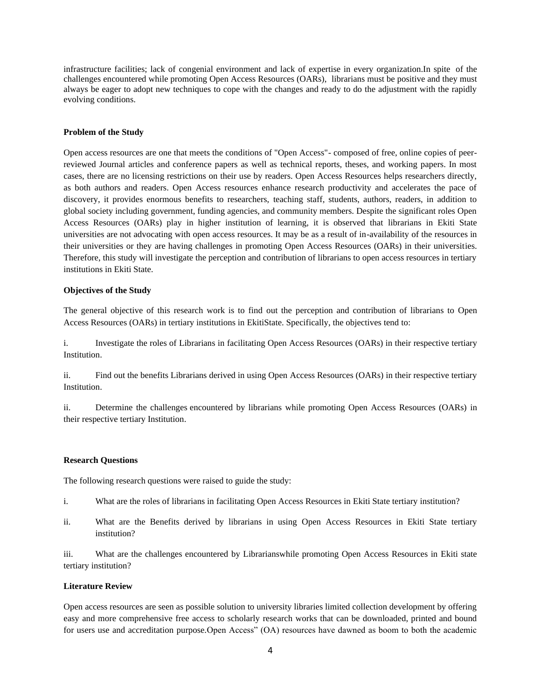infrastructure facilities; lack of congenial environment and lack of expertise in every organization.In spite of the challenges encountered while promoting Open Access Resources (OARs), librarians must be positive and they must always be eager to adopt new techniques to cope with the changes and ready to do the adjustment with the rapidly evolving conditions.

#### **Problem of the Study**

Open access resources are one that meets the conditions of "Open Access"- composed of free, online copies of peerreviewed Journal articles and conference papers as well as technical reports, theses, and working papers. In most cases, there are no licensing restrictions on their use by readers. Open Access Resources helps researchers directly, as both authors and readers. Open Access resources enhance research productivity and accelerates the pace of discovery, it provides enormous benefits to researchers, teaching staff, students, authors, readers, in addition to global society including government, funding agencies, and community members. Despite the significant roles Open Access Resources (OARs) play in higher institution of learning, it is observed that librarians in Ekiti State universities are not advocating with open access resources. It may be as a result of in-availability of the resources in their universities or they are having challenges in promoting Open Access Resources (OARs) in their universities. Therefore, this study will investigate the perception and contribution of librarians to open access resources in tertiary institutions in Ekiti State.

#### **Objectives of the Study**

The general objective of this research work is to find out the perception and contribution of librarians to Open Access Resources (OARs) in tertiary institutions in EkitiState. Specifically, the objectives tend to:

i. Investigate the roles of Librarians in facilitating Open Access Resources (OARs) in their respective tertiary Institution.

ii. Find out the benefits Librarians derived in using Open Access Resources (OARs) in their respective tertiary Institution.

ii. Determine the challenges encountered by librarians while promoting Open Access Resources (OARs) in their respective tertiary Institution.

#### **Research Questions**

The following research questions were raised to guide the study:

- i. What are the roles of librarians in facilitating Open Access Resources in Ekiti State tertiary institution?
- ii. What are the Benefits derived by librarians in using Open Access Resources in Ekiti State tertiary institution?

iii. What are the challenges encountered by Librarianswhile promoting Open Access Resources in Ekiti state tertiary institution?

## **Literature Review**

Open access resources are seen as possible solution to university libraries limited collection development by offering easy and more comprehensive free access to scholarly research works that can be downloaded, printed and bound for users use and accreditation purpose.Open Access" (OA) resources have dawned as boom to both the academic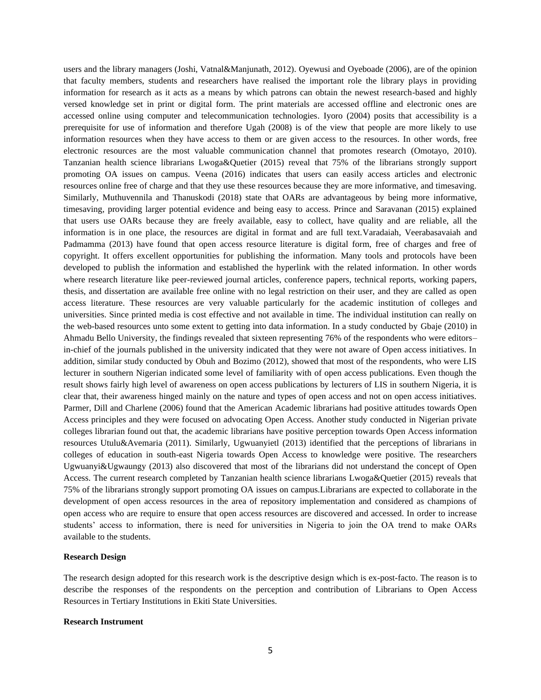users and the library managers (Joshi, Vatnal&Manjunath, 2012). Oyewusi and Oyeboade (2006), are of the opinion that faculty members, students and researchers have realised the important role the library plays in providing information for research as it acts as a means by which patrons can obtain the newest research-based and highly versed knowledge set in print or digital form. The print materials are accessed offline and electronic ones are accessed online using computer and telecommunication technologies. Iyoro (2004) posits that accessibility is a prerequisite for use of information and therefore Ugah (2008) is of the view that people are more likely to use information resources when they have access to them or are given access to the resources. In other words, free electronic resources are the most valuable communication channel that promotes research (Omotayo, 2010). Tanzanian health science librarians Lwoga&Quetier (2015) reveal that 75% of the librarians strongly support promoting OA issues on campus. Veena (2016) indicates that users can easily access articles and electronic resources online free of charge and that they use these resources because they are more informative, and timesaving. Similarly, Muthuvennila and Thanuskodi (2018) state that OARs are advantageous by being more informative, timesaving, providing larger potential evidence and being easy to access. Prince and Saravanan (2015) explained that users use OARs because they are freely available, easy to collect, have quality and are reliable, all the information is in one place, the resources are digital in format and are full text.Varadaiah, Veerabasavaiah and Padmamma (2013) have found that open access resource literature is digital form, free of charges and free of copyright. It offers excellent opportunities for publishing the information. Many tools and protocols have been developed to publish the information and established the hyperlink with the related information. In other words where research literature like peer-reviewed journal articles, conference papers, technical reports, working papers, thesis, and dissertation are available free online with no legal restriction on their user, and they are called as open access literature. These resources are very valuable particularly for the academic institution of colleges and universities. Since printed media is cost effective and not available in time. The individual institution can really on the web-based resources unto some extent to getting into data information. In a study conducted by Gbaje (2010) in Ahmadu Bello University, the findings revealed that sixteen representing 76% of the respondents who were editors– in-chief of the journals published in the university indicated that they were not aware of Open access initiatives. In addition, similar study conducted by Obuh and Bozimo (2012), showed that most of the respondents, who were LIS lecturer in southern Nigerian indicated some level of familiarity with of open access publications. Even though the result shows fairly high level of awareness on open access publications by lecturers of LIS in southern Nigeria, it is clear that, their awareness hinged mainly on the nature and types of open access and not on open access initiatives. Parmer, Dill and Charlene (2006) found that the American Academic librarians had positive attitudes towards Open Access principles and they were focused on advocating Open Access. Another study conducted in Nigerian private colleges librarian found out that, the academic librarians have positive perception towards Open Access information resources Utulu&Avemaria (2011). Similarly, Ugwuanyietl (2013) identified that the perceptions of librarians in colleges of education in south-east Nigeria towards Open Access to knowledge were positive. The researchers Ugwuanyi&Ugwaungy (2013) also discovered that most of the librarians did not understand the concept of Open Access. The current research completed by Tanzanian health science librarians Lwoga&Quetier (2015) reveals that 75% of the librarians strongly support promoting OA issues on campus.Librarians are expected to collaborate in the development of open access resources in the area of repository implementation and considered as champions of open access who are require to ensure that open access resources are discovered and accessed. In order to increase students' access to information, there is need for universities in Nigeria to join the OA trend to make OARs available to the students.

#### **Research Design**

The research design adopted for this research work is the descriptive design which is ex-post-facto. The reason is to describe the responses of the respondents on the perception and contribution of Librarians to Open Access Resources in Tertiary Institutions in Ekiti State Universities.

## **Research Instrument**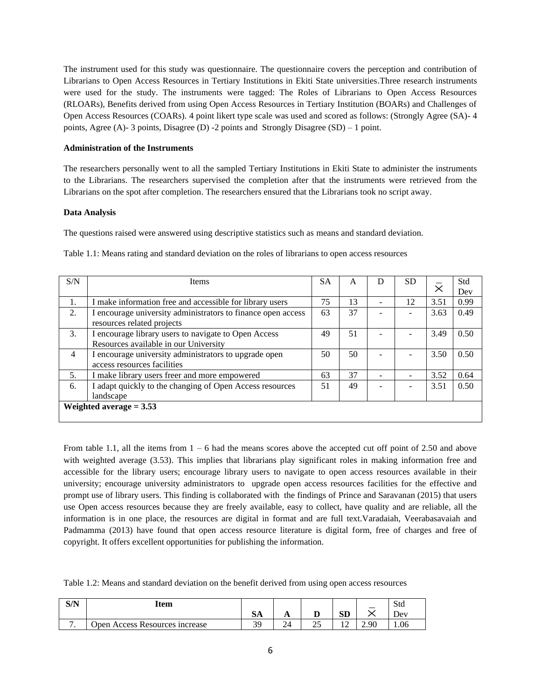The instrument used for this study was questionnaire. The questionnaire covers the perception and contribution of Librarians to Open Access Resources in Tertiary Institutions in Ekiti State universities.Three research instruments were used for the study. The instruments were tagged: The Roles of Librarians to Open Access Resources (RLOARs), Benefits derived from using Open Access Resources in Tertiary Institution (BOARs) and Challenges of Open Access Resources (COARs). 4 point likert type scale was used and scored as follows: (Strongly Agree (SA)- 4 points, Agree (A)- 3 points, Disagree (D) -2 points and Strongly Disagree (SD) – 1 point.

# **Administration of the Instruments**

The researchers personally went to all the sampled Tertiary Institutions in Ekiti State to administer the instruments to the Librarians. The researchers supervised the completion after that the instruments were retrieved from the Librarians on the spot after completion. The researchers ensured that the Librarians took no script away.

#### **Data Analysis**

The questions raised were answered using descriptive statistics such as means and standard deviation.

| S/N                       | <b>Items</b>                                                 | <b>SA</b> | A  |  | <b>SD</b> |      | Std  |
|---------------------------|--------------------------------------------------------------|-----------|----|--|-----------|------|------|
|                           |                                                              |           |    |  |           |      | Dev  |
| 1.                        | I make information free and accessible for library users     | 75        | 13 |  | 12        | 3.51 | 0.99 |
| 2.                        | I encourage university administrators to finance open access | 63        | 37 |  |           | 3.63 | 0.49 |
|                           | resources related projects                                   |           |    |  |           |      |      |
| 3.                        | I encourage library users to navigate to Open Access         | 49        | 51 |  |           | 3.49 | 0.50 |
|                           | Resources available in our University                        |           |    |  |           |      |      |
| 4                         | I encourage university administrators to upgrade open        | 50        | 50 |  |           | 3.50 | 0.50 |
|                           | access resources facilities                                  |           |    |  |           |      |      |
| 5.                        | I make library users freer and more empowered                | 63        | 37 |  |           | 3.52 | 0.64 |
| 6.                        | I adapt quickly to the changing of Open Access resources     | 51        | 49 |  |           | 3.51 | 0.50 |
|                           | landscape                                                    |           |    |  |           |      |      |
| Weighted average $= 3.53$ |                                                              |           |    |  |           |      |      |
|                           |                                                              |           |    |  |           |      |      |

Table 1.1: Means rating and standard deviation on the roles of librarians to open access resources

From table 1.1, all the items from 1 – 6 had the means scores above the accepted cut off point of 2.50 and above with weighted average (3.53). This implies that librarians play significant roles in making information free and accessible for the library users; encourage library users to navigate to open access resources available in their university; encourage university administrators to upgrade open access resources facilities for the effective and prompt use of library users. This finding is collaborated with the findings of Prince and Saravanan (2015) that users use Open access resources because they are freely available, easy to collect, have quality and are reliable, all the information is in one place, the resources are digital in format and are full text.Varadaiah, Veerabasavaiah and Padmamma (2013) have found that open access resource literature is digital form, free of charges and free of copyright. It offers excellent opportunities for publishing the information.

Table 1.2: Means and standard deviation on the benefit derived from using open access resources

| S/N | Item                           |              |    |        |          |      | Std |
|-----|--------------------------------|--------------|----|--------|----------|------|-----|
|     |                                | $\sim$<br>ðА | Г, |        | αm<br>υv |      | Jev |
|     | Open Access Resources increase | 3q<br>້      | 24 | ົ<br>∼ | ∸        | 2.90 | .06 |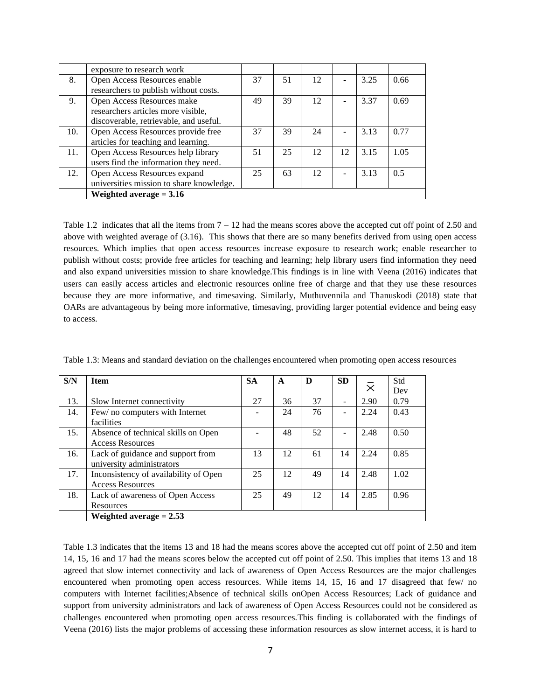|     | exposure to research work                |    |    |    |    |      |      |
|-----|------------------------------------------|----|----|----|----|------|------|
| 8.  | Open Access Resources enable             | 37 | 51 | 12 |    | 3.25 | 0.66 |
|     | researchers to publish without costs.    |    |    |    |    |      |      |
| 9.  | Open Access Resources make               | 49 | 39 | 12 |    | 3.37 | 0.69 |
|     | researchers articles more visible,       |    |    |    |    |      |      |
|     | discoverable, retrievable, and useful.   |    |    |    |    |      |      |
| 10. | Open Access Resources provide free       | 37 | 39 | 24 |    | 3.13 | 0.77 |
|     | articles for teaching and learning.      |    |    |    |    |      |      |
| 11. | Open Access Resources help library       | 51 | 25 | 12 | 12 | 3.15 | 1.05 |
|     | users find the information they need.    |    |    |    |    |      |      |
| 12. | Open Access Resources expand             | 25 | 63 | 12 |    | 3.13 | 0.5  |
|     | universities mission to share knowledge. |    |    |    |    |      |      |
|     | Weighted average $= 3.16$                |    |    |    |    |      |      |

Table 1.2 indicates that all the items from  $7 - 12$  had the means scores above the accepted cut off point of 2.50 and above with weighted average of (3.16). This shows that there are so many benefits derived from using open access resources. Which implies that open access resources increase exposure to research work; enable researcher to publish without costs; provide free articles for teaching and learning; help library users find information they need and also expand universities mission to share knowledge.This findings is in line with Veena (2016) indicates that users can easily access articles and electronic resources online free of charge and that they use these resources because they are more informative, and timesaving. Similarly, Muthuvennila and Thanuskodi (2018) state that OARs are advantageous by being more informative, timesaving, providing larger potential evidence and being easy to access.

| S/N | <b>Item</b>                           | <b>SA</b> | A  | D  | <b>SD</b> |                | Std  |
|-----|---------------------------------------|-----------|----|----|-----------|----------------|------|
|     |                                       |           |    |    |           | $\bar{\times}$ | Dev  |
| 13. | Slow Internet connectivity            | 27        | 36 | 37 | ۰         | 2.90           | 0.79 |
| 14. | Few/ no computers with Internet       |           | 24 | 76 |           | 2.24           | 0.43 |
|     | facilities                            |           |    |    |           |                |      |
| 15. | Absence of technical skills on Open   |           | 48 | 52 |           | 2.48           | 0.50 |
|     | <b>Access Resources</b>               |           |    |    |           |                |      |
| 16. | Lack of guidance and support from     | 13        | 12 | 61 | 14        | 2.24           | 0.85 |
|     | university administrators             |           |    |    |           |                |      |
| 17. | Inconsistency of availability of Open | 25        | 12 | 49 | 14        | 2.48           | 1.02 |
|     | <b>Access Resources</b>               |           |    |    |           |                |      |
| 18. | Lack of awareness of Open Access      | 25        | 49 | 12 | 14        | 2.85           | 0.96 |
|     | Resources                             |           |    |    |           |                |      |
|     | Weighted average $= 2.53$             |           |    |    |           |                |      |

Table 1.3: Means and standard deviation on the challenges encountered when promoting open access resources

Table 1.3 indicates that the items 13 and 18 had the means scores above the accepted cut off point of 2.50 and item 14, 15, 16 and 17 had the means scores below the accepted cut off point of 2.50. This implies that items 13 and 18 agreed that slow internet connectivity and lack of awareness of Open Access Resources are the major challenges encountered when promoting open access resources. While items 14, 15, 16 and 17 disagreed that few/ no computers with Internet facilities;Absence of technical skills onOpen Access Resources; Lack of guidance and support from university administrators and lack of awareness of Open Access Resources could not be considered as challenges encountered when promoting open access resources.This finding is collaborated with the findings of Veena (2016) lists the major problems of accessing these information resources as slow internet access, it is hard to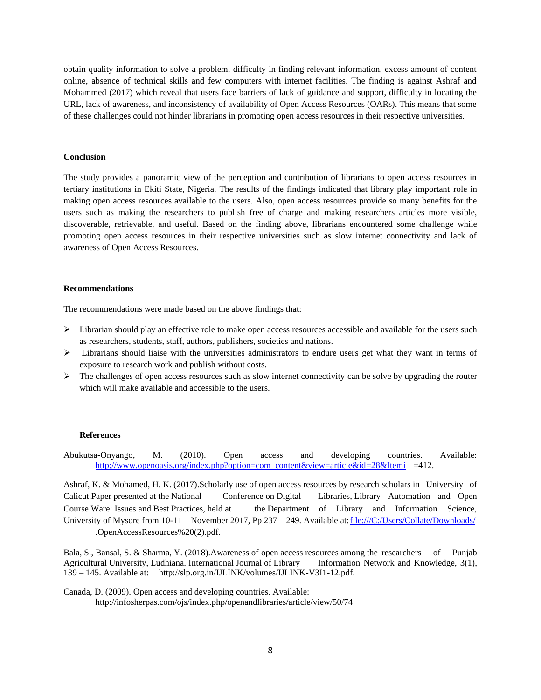obtain quality information to solve a problem, difficulty in finding relevant information, excess amount of content online, absence of technical skills and few computers with internet facilities. The finding is against Ashraf and Mohammed (2017) which reveal that users face barriers of lack of guidance and support, difficulty in locating the URL, lack of awareness, and inconsistency of availability of Open Access Resources (OARs). This means that some of these challenges could not hinder librarians in promoting open access resources in their respective universities.

## **Conclusion**

The study provides a panoramic view of the perception and contribution of librarians to open access resources in tertiary institutions in Ekiti State, Nigeria. The results of the findings indicated that library play important role in making open access resources available to the users. Also, open access resources provide so many benefits for the users such as making the researchers to publish free of charge and making researchers articles more visible, discoverable, retrievable, and useful. Based on the finding above, librarians encountered some challenge while promoting open access resources in their respective universities such as slow internet connectivity and lack of awareness of Open Access Resources.

#### **Recommendations**

The recommendations were made based on the above findings that:

- ➢ Librarian should play an effective role to make open access resources accessible and available for the users such as researchers, students, staff, authors, publishers, societies and nations.
- ➢ Librarians should liaise with the universities administrators to endure users get what they want in terms of exposure to research work and publish without costs.
- $\triangleright$  The challenges of open access resources such as slow internet connectivity can be solve by upgrading the router which will make available and accessible to the users.

#### **References**

Abukutsa-Onyango, M. (2010). Open access and developing countries. Available: [http://www.openoasis.org/index.php?option=com\\_content&view=article&id=28&Itemi](http://www.openoasis.org/index.php?option=com_content&view=article&id=28&Itemi) =412.

Ashraf, K. & Mohamed, H. K. (2017).Scholarly use of open access resources by research scholars in University of Calicut.Paper presented at the National Conference on Digital Libraries, Library Automation and Open Course Ware: Issues and Best Practices, held at the Department of Library and Information Science, University of Mysore from 10-11 November 2017, Pp 237 - 249. Available at: file:///C:/Users/Collate/Downloads/ .OpenAccessResources%20(2).pdf.

Bala, S., Bansal, S. & Sharma, Y. (2018).Awareness of open access resources among the researchers of Punjab Agricultural University, Ludhiana. International Journal of Library Information Network and Knowledge, 3(1), 139 – 145. Available at: http://slp.org.in/IJLINK/volumes/IJLINK-V3I1-12.pdf.

Canada, D. (2009). Open access and developing countries. Available: http://infosherpas.com/ojs/index.php/openandlibraries/article/view/50/74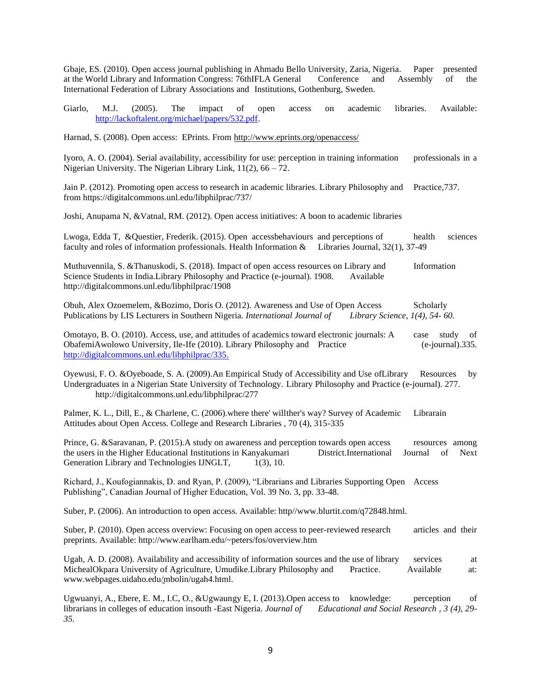Gbaje, ES. (2010). Open access journal publishing in Ahmadu Bello University, Zaria, Nigeria. Paper presented at the World Library and Information Congress: 76thIFLA General Conference and Assembly of the International Federation of Library Associations and Institutions, Gothenburg, Sweden.

Giarlo, M.J. (2005). The impact of open access on academic libraries. Available: [http://lackoftalent.org/michael/papers/532.pdf.](http://lackoftalent.org/michael/papers/532.pdf)

Harnad, S. (2008). Open access: EPrints. Fro[m http://www.eprints.org/openaccess/](http://www.eprints.org/openaccess/)

Iyoro, A. O. (2004). Serial availability, accessibility for use: perception in training information professionals in a Nigerian University. The Nigerian Library Link, 11(2), 66 – 72.

Jain P. (2012). Promoting open access to research in academic libraries. Library Philosophy and Practice,737. from https://digitalcommons.unl.edu/libphilprac/737/

Joshi, Anupama N, &Vatnal, RM. (2012). Open access initiatives: A boon to academic libraries

Lwoga, Edda T, &Questier, Frederik. (2015). Open accessbehaviours and perceptions of health sciences faculty and roles of information professionals. Health Information & Libraries Journal, 32(1), 37-49

Muthuvennila, S. &Thanuskodi, S. (2018). Impact of open access resources on Library and Information Science Students in India.Library Philosophy and Practice (e-journal). 1908. Available http://digitalcommons.unl.edu/libphilprac/1908

Obuh, Alex Ozoemelem, &Bozimo, Doris O. (2012). Awareness and Use of Open Access Scholarly Publications by LIS Lecturers in Southern Nigeria. *International Journal of Library Science, 1(4), 54- 60.*

Omotayo, B. O. (2010). Access, use, and attitudes of academics toward electronic journals: A case study of ObafemiAwolowo University, Ile-Ife (2010). Library Philosophy and Practice (e-journal).335. [http://digitalcommons.unl.edu/libphilprac/335.](http://digitalcommons.unl.edu/libphilprac/335)

Oyewusi, F. O. &Oyeboade, S. A. (2009).An Empirical Study of Accessibility and Use ofLibrary Resources by Undergraduates in a Nigerian State University of Technology. Library Philosophy and Practice (e-journal). 277. http://digitalcommons.unl.edu/libphilprac/277

Palmer, K. L., Dill, E., & Charlene, C. (2006).where there' willther's way? Survey of Academic Librarain Attitudes about Open Access. College and Research Libraries , 70 (4), 315-335

Prince, G. &Saravanan, P. (2015).A study on awareness and perception towards open access resources among the users in the Higher Educational Institutions in Kanyakumari District.International Journal of Next Generation Library and Technologies IJNGLT,  $1(3)$ , 10.

Richard, J., Koufogiannakis, D. and Ryan, P. (2009), "Librarians and Libraries Supporting Open Access Publishing", Canadian Journal of Higher Education, Vol. 39 No. 3, pp. 33-48.

Suber, P. (2006). An introduction to open access. Available: http//www.blurtit.com/q72848.html.

Suber, P. (2010). Open access overview: Focusing on open access to peer-reviewed research articles and their preprints. Available: http://www.earlham.edu/~peters/fos/overview.htm

Ugah, A. D. (2008). Availability and accessibility of information sources and the use of library services at MichealOkpara University of Agriculture, Umudike.Library Philosophy and Practice. Available at: www.webpages.uidaho.edu/̰mbolin/ugah4.html.

Ugwuanyi, A., Ebere, E. M., I.C, O., &Ugwaungy E, I. (2013). Open access to knowledge: perception of librarians in colleges of education insouth -East Nigeria. *Journal of Educational and Social Research , 3 (4), 29- 35.*